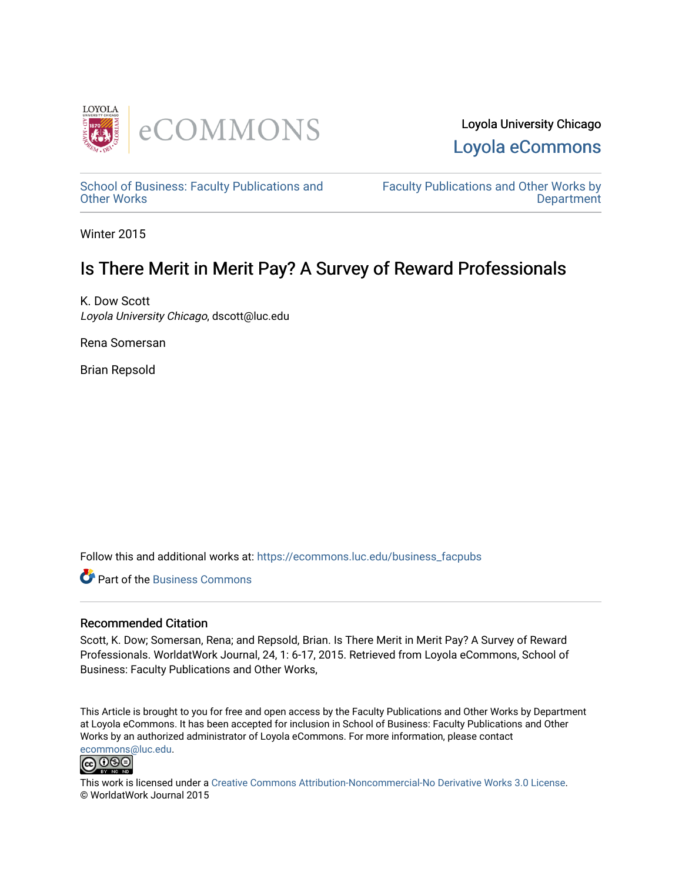

Loyola University Chicago [Loyola eCommons](https://ecommons.luc.edu/) 

[School of Business: Faculty Publications and](https://ecommons.luc.edu/business_facpubs) [Other Works](https://ecommons.luc.edu/business_facpubs)

[Faculty Publications and Other Works by](https://ecommons.luc.edu/faculty)  **Department** 

Winter 2015

# Is There Merit in Merit Pay? A Survey of Reward Professionals

K. Dow Scott Loyola University Chicago, dscott@luc.edu

Rena Somersan

Brian Repsold

Follow this and additional works at: [https://ecommons.luc.edu/business\\_facpubs](https://ecommons.luc.edu/business_facpubs?utm_source=ecommons.luc.edu%2Fbusiness_facpubs%2F137&utm_medium=PDF&utm_campaign=PDFCoverPages) 

**C** Part of the [Business Commons](http://network.bepress.com/hgg/discipline/622?utm_source=ecommons.luc.edu%2Fbusiness_facpubs%2F137&utm_medium=PDF&utm_campaign=PDFCoverPages)

#### Recommended Citation

Scott, K. Dow; Somersan, Rena; and Repsold, Brian. Is There Merit in Merit Pay? A Survey of Reward Professionals. WorldatWork Journal, 24, 1: 6-17, 2015. Retrieved from Loyola eCommons, School of Business: Faculty Publications and Other Works,

This Article is brought to you for free and open access by the Faculty Publications and Other Works by Department at Loyola eCommons. It has been accepted for inclusion in School of Business: Faculty Publications and Other Works by an authorized administrator of Loyola eCommons. For more information, please contact [ecommons@luc.edu](mailto:ecommons@luc.edu).



This work is licensed under a [Creative Commons Attribution-Noncommercial-No Derivative Works 3.0 License.](https://creativecommons.org/licenses/by-nc-nd/3.0/) © WorldatWork Journal 2015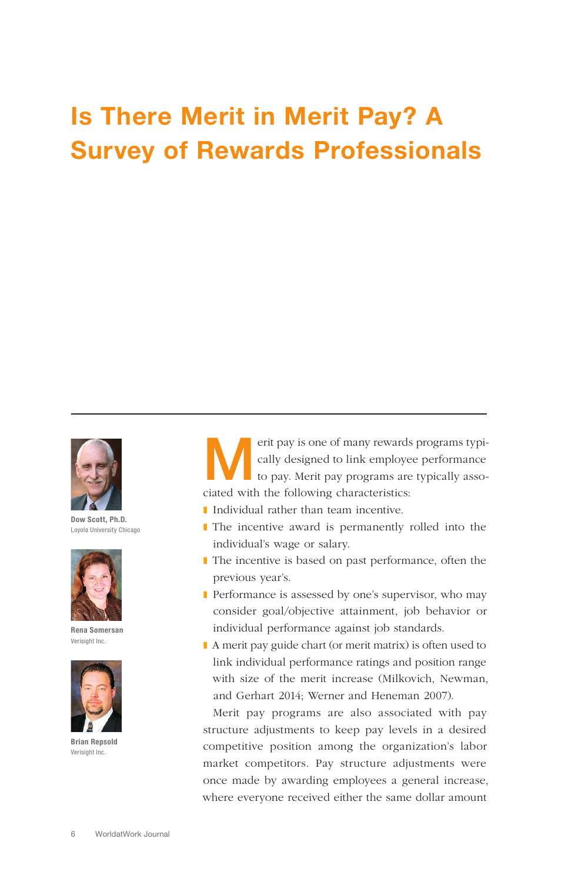# Is There Merit in Merit Pay? A Survey of Rewards Professionals



Dow Scott, Ph.D. Loyola University Chicago



Rena Somersan Verisight Inc.



Brian Repsold Verisight Inc.

erit pay is one of many rewards programs typically designed to link employee performance<br>to pay. Merit pay programs are typically assocally designed to link employee performance ciated with the following characteristics:

- Individual rather than team incentive.
- The incentive award is permanently rolled into the individual's wage or salary.
- The incentive is based on past performance, often the previous year's.
- Performance is assessed by one's supervisor, who may consider goal/objective attainment, job behavior or individual performance against job standards.
- A merit pay guide chart (or merit matrix) is often used to link individual performance ratings and position range with size of the merit increase (Milkovich, Newman, and Gerhart 2014; Werner and Heneman 2007).

Merit pay programs are also associated with pay structure adjustments to keep pay levels in a desired competitive position among the organization's labor market competitors. Pay structure adjustments were once made by awarding employees a general increase, where everyone received either the same dollar amount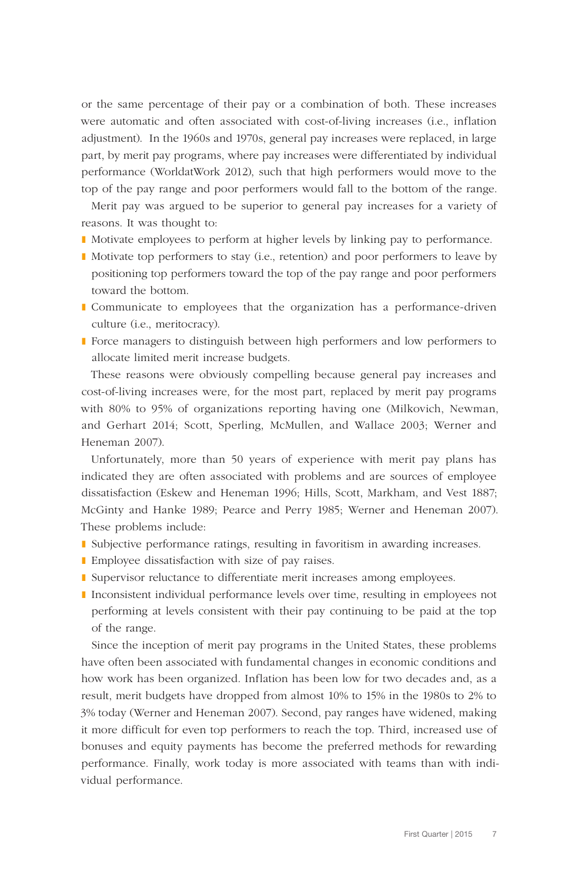or the same percentage of their pay or a combination of both. These increases were automatic and often associated with cost-of-living increases (i.e., inflation adjustment). In the 1960s and 1970s, general pay increases were replaced, in large part, by merit pay programs, where pay increases were differentiated by individual performance (WorldatWork 2012), such that high performers would move to the top of the pay range and poor performers would fall to the bottom of the range.

Merit pay was argued to be superior to general pay increases for a variety of reasons. It was thought to:

- Motivate employees to perform at higher levels by linking pay to performance.
- Motivate top performers to stay (i.e., retention) and poor performers to leave by positioning top performers toward the top of the pay range and poor performers toward the bottom.
- ❚ Communicate to employees that the organization has a performance-driven culture (i.e., meritocracy).
- ❚ Force managers to distinguish between high performers and low performers to allocate limited merit increase budgets.

These reasons were obviously compelling because general pay increases and cost-of-living increases were, for the most part, replaced by merit pay programs with 80% to 95% of organizations reporting having one (Milkovich, Newman, and Gerhart 2014; Scott, Sperling, McMullen, and Wallace 2003; Werner and Heneman 2007).

Unfortunately, more than 50 years of experience with merit pay plans has indicated they are often associated with problems and are sources of employee dissatisfaction (Eskew and Heneman 1996; Hills, Scott, Markham, and Vest 1887; McGinty and Hanke 1989; Pearce and Perry 1985; Werner and Heneman 2007). These problems include:

- ❚ Subjective performance ratings, resulting in favoritism in awarding increases.
- Employee dissatisfaction with size of pay raises.
- Supervisor reluctance to differentiate merit increases among employees.
- ❚ Inconsistent individual performance levels over time, resulting in employees not performing at levels consistent with their pay continuing to be paid at the top of the range.

Since the inception of merit pay programs in the United States, these problems have often been associated with fundamental changes in economic conditions and how work has been organized. Inflation has been low for two decades and, as a result, merit budgets have dropped from almost 10% to 15% in the 1980s to 2% to 3% today (Werner and Heneman 2007). Second, pay ranges have widened, making it more difficult for even top performers to reach the top. Third, increased use of bonuses and equity payments has become the preferred methods for rewarding performance. Finally, work today is more associated with teams than with individual performance.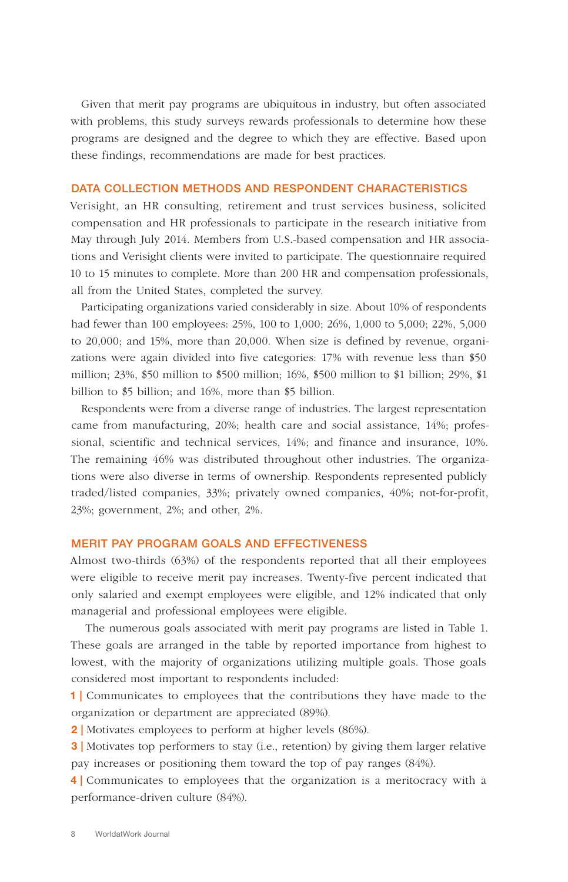Given that merit pay programs are ubiquitous in industry, but often associated with problems, this study surveys rewards professionals to determine how these programs are designed and the degree to which they are effective. Based upon these findings, recommendations are made for best practices.

#### DATA COLLECTION METHODS AND RESPONDENT CHARACTERISTICS

Verisight, an HR consulting, retirement and trust services business, solicited compensation and HR professionals to participate in the research initiative from May through July 2014. Members from U.S.-based compensation and HR associations and Verisight clients were invited to participate. The questionnaire required 10 to 15 minutes to complete. More than 200 HR and compensation professionals, all from the United States, completed the survey.

Participating organizations varied considerably in size. About 10% of respondents had fewer than 100 employees: 25%, 100 to 1,000; 26%, 1,000 to 5,000; 22%, 5,000 to 20,000; and 15%, more than 20,000. When size is defined by revenue, organizations were again divided into five categories: 17% with revenue less than \$50 million; 23%, \$50 million to \$500 million; 16%, \$500 million to \$1 billion; 29%, \$1 billion to \$5 billion; and 16%, more than \$5 billion.

Respondents were from a diverse range of industries. The largest representation came from manufacturing, 20%; health care and social assistance, 14%; professional, scientific and technical services, 14%; and finance and insurance, 10%. The remaining 46% was distributed throughout other industries. The organizations were also diverse in terms of ownership. Respondents represented publicly traded/listed companies, 33%; privately owned companies, 40%; not-for-profit, 23%; government, 2%; and other, 2%.

## MERIT PAY PROGRAM GOALS AND EFFECTIVENESS

Almost two-thirds (63%) of the respondents reported that all their employees were eligible to receive merit pay increases. Twenty-five percent indicated that only salaried and exempt employees were eligible, and 12% indicated that only managerial and professional employees were eligible.

 The numerous goals associated with merit pay programs are listed in Table 1. These goals are arranged in the table by reported importance from highest to lowest, with the majority of organizations utilizing multiple goals. Those goals considered most important to respondents included:

1 | Communicates to employees that the contributions they have made to the organization or department are appreciated (89%).

2 | Motivates employees to perform at higher levels (86%).

**3** | Motivates top performers to stay (i.e., retention) by giving them larger relative pay increases or positioning them toward the top of pay ranges (84%).

4 | Communicates to employees that the organization is a meritocracy with a performance-driven culture (84%).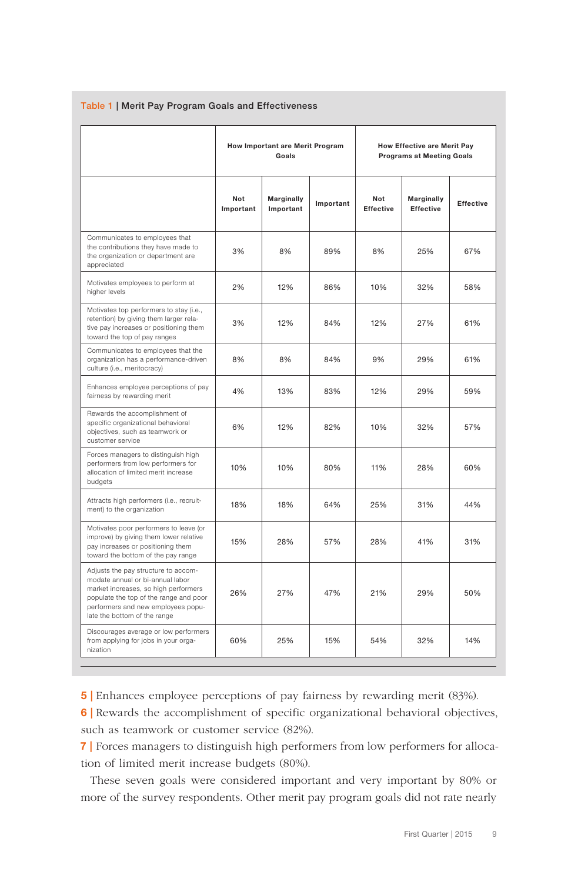|                                                                                                                                                                                                                                 | How Important are Merit Program<br>Goals |                         |           | <b>How Effective are Merit Pay</b><br><b>Programs at Meeting Goals</b> |                                |                  |  |
|---------------------------------------------------------------------------------------------------------------------------------------------------------------------------------------------------------------------------------|------------------------------------------|-------------------------|-----------|------------------------------------------------------------------------|--------------------------------|------------------|--|
|                                                                                                                                                                                                                                 | Not<br>Important                         | Marginally<br>Important | Important | <b>Not</b><br><b>Effective</b>                                         | Marginally<br><b>Effective</b> | <b>Effective</b> |  |
| Communicates to employees that<br>the contributions they have made to<br>the organization or department are<br>appreciated                                                                                                      | 3%                                       | 8%                      | 89%       | 8%                                                                     | 25%                            | 67%              |  |
| Motivates employees to perform at<br>higher levels                                                                                                                                                                              | 2%                                       | 12%                     | 86%       | 10%                                                                    | 32%                            | 58%              |  |
| Motivates top performers to stay (i.e.,<br>retention) by giving them larger rela-<br>tive pay increases or positioning them<br>toward the top of pay ranges                                                                     | 3%                                       | 12%                     | 84%       | 12%                                                                    | 27%                            | 61%              |  |
| Communicates to employees that the<br>organization has a performance-driven<br>culture (i.e., meritocracy)                                                                                                                      | 8%                                       | 8%                      | 84%       | 9%                                                                     | 29%                            | 61%              |  |
| Enhances employee perceptions of pay<br>fairness by rewarding merit                                                                                                                                                             | 4%                                       | 13%                     | 83%       | 12%                                                                    | 29%                            | 59%              |  |
| Rewards the accomplishment of<br>specific organizational behavioral<br>objectives, such as teamwork or<br>customer service                                                                                                      | 6%                                       | 12%                     | 82%       | 10%                                                                    | 32%                            | 57%              |  |
| Forces managers to distinguish high<br>performers from low performers for<br>allocation of limited merit increase<br>budgets                                                                                                    | 10%                                      | 10%                     | 80%       | 11%                                                                    | 28%                            | 60%              |  |
| Attracts high performers (i.e., recruit-<br>ment) to the organization                                                                                                                                                           | 18%                                      | 18%                     | 64%       | 25%                                                                    | 31%                            | 44%              |  |
| Motivates poor performers to leave (or<br>improve) by giving them lower relative<br>pay increases or positioning them<br>toward the bottom of the pay range                                                                     | 15%                                      | 28%                     | 57%       | 28%                                                                    | 41%                            | 31%              |  |
| Adjusts the pay structure to accom-<br>modate annual or bi-annual labor<br>market increases, so high performers<br>populate the top of the range and poor<br>performers and new employees popu-<br>late the bottom of the range | 26%                                      | 27%                     | 47%       | 21%                                                                    | 29%                            | 50%              |  |
| Discourages average or low performers<br>from applying for jobs in your orga-<br>nization                                                                                                                                       | 60%                                      | 25%                     | 15%       | 54%                                                                    | 32%                            | 14%              |  |

#### Table 1 | Merit Pay Program Goals and Effectiveness

5 | Enhances employee perceptions of pay fairness by rewarding merit (83%).

**6** Rewards the accomplishment of specific organizational behavioral objectives, such as teamwork or customer service (82%).

7 | Forces managers to distinguish high performers from low performers for allocation of limited merit increase budgets (80%).

These seven goals were considered important and very important by 80% or more of the survey respondents. Other merit pay program goals did not rate nearly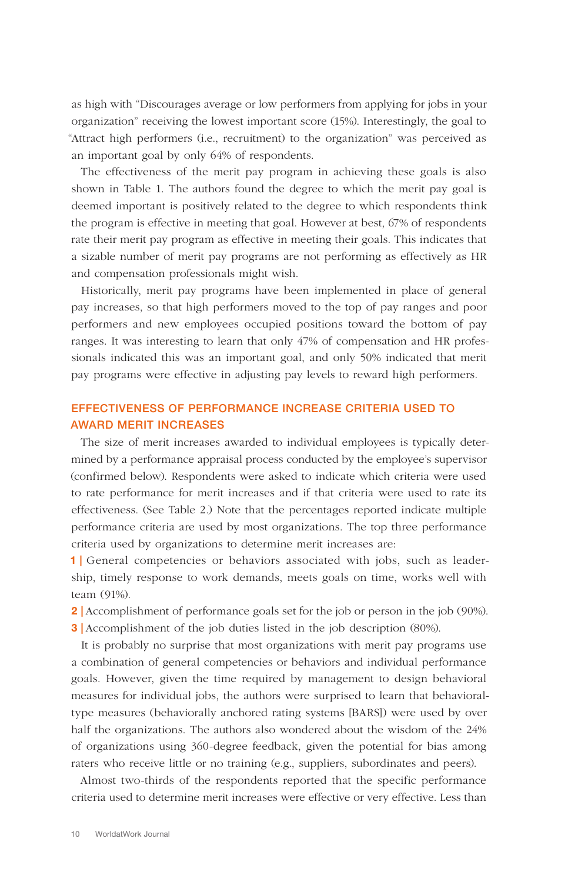as high with "Discourages average or low performers from applying for jobs in your organization" receiving the lowest important score (15%). Interestingly, the goal to "Attract high performers (i.e., recruitment) to the organization" was perceived as an important goal by only 64% of respondents.

The effectiveness of the merit pay program in achieving these goals is also shown in Table 1. The authors found the degree to which the merit pay goal is deemed important is positively related to the degree to which respondents think the program is effective in meeting that goal. However at best, 67% of respondents rate their merit pay program as effective in meeting their goals. This indicates that a sizable number of merit pay programs are not performing as effectively as HR and compensation professionals might wish.

Historically, merit pay programs have been implemented in place of general pay increases, so that high performers moved to the top of pay ranges and poor performers and new employees occupied positions toward the bottom of pay ranges. It was interesting to learn that only 47% of compensation and HR professionals indicated this was an important goal, and only 50% indicated that merit pay programs were effective in adjusting pay levels to reward high performers.

# EFFECTIVENESS OF PERFORMANCE INCREASE CRITERIA USED TO AWARD MERIT INCREASES

The size of merit increases awarded to individual employees is typically determined by a performance appraisal process conducted by the employee's supervisor (confirmed below). Respondents were asked to indicate which criteria were used to rate performance for merit increases and if that criteria were used to rate its effectiveness. (See Table 2.) Note that the percentages reported indicate multiple performance criteria are used by most organizations. The top three performance criteria used by organizations to determine merit increases are:

1 | General competencies or behaviors associated with jobs, such as leadership, timely response to work demands, meets goals on time, works well with team (91%).

2 | Accomplishment of performance goals set for the job or person in the job (90%). **3** Accomplishment of the job duties listed in the job description (80%).

It is probably no surprise that most organizations with merit pay programs use a combination of general competencies or behaviors and individual performance goals. However, given the time required by management to design behavioral measures for individual jobs, the authors were surprised to learn that behavioraltype measures (behaviorally anchored rating systems [BARS]) were used by over half the organizations. The authors also wondered about the wisdom of the 24% of organizations using 360-degree feedback, given the potential for bias among raters who receive little or no training (e.g., suppliers, subordinates and peers).

Almost two-thirds of the respondents reported that the specific performance criteria used to determine merit increases were effective or very effective. Less than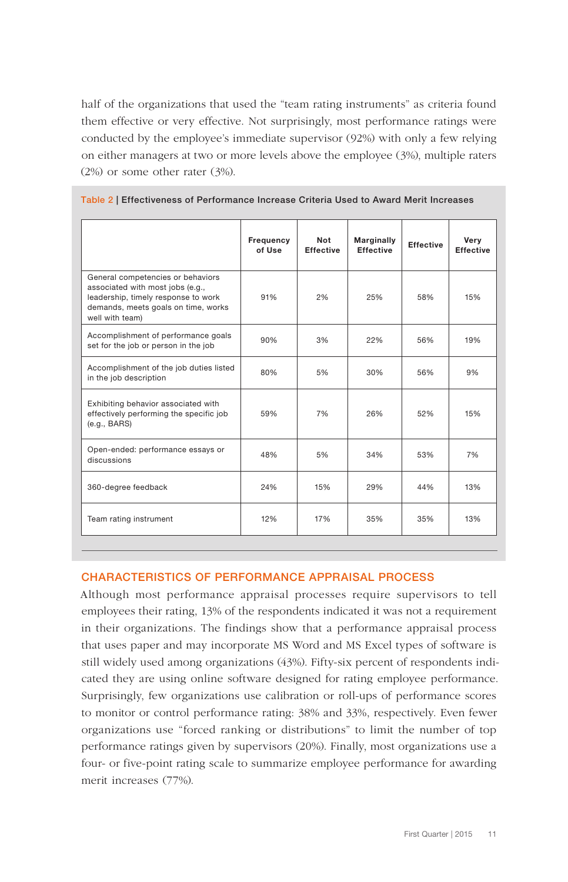half of the organizations that used the "team rating instruments" as criteria found them effective or very effective. Not surprisingly, most performance ratings were conducted by the employee's immediate supervisor (92%) with only a few relying on either managers at two or more levels above the employee (3%), multiple raters (2%) or some other rater (3%).

|                                                                                                                                                                        | Frequency<br>of Use | <b>Not</b><br><b>Effective</b> | <b>Marginally</b><br><b>Effective</b> | <b>Effective</b> | Very<br><b>Effective</b> |
|------------------------------------------------------------------------------------------------------------------------------------------------------------------------|---------------------|--------------------------------|---------------------------------------|------------------|--------------------------|
| General competencies or behaviors<br>associated with most jobs (e.g.,<br>leadership, timely response to work<br>demands, meets goals on time, works<br>well with team) | 91%                 | 2%                             | 25%                                   | 58%              | 15%                      |
| Accomplishment of performance goals<br>set for the job or person in the job                                                                                            | 90%                 | 3%                             | 22%                                   | 56%              | 19%                      |
| Accomplishment of the job duties listed<br>in the job description                                                                                                      | 80%                 | 5%                             | 30%                                   | 56%              | 9%                       |
| Exhibiting behavior associated with<br>effectively performing the specific job<br>(e.q., BARS)                                                                         | 59%                 | 7%                             | 26%                                   | 52%              | 15%                      |
| Open-ended: performance essays or<br>discussions                                                                                                                       | 48%                 | 5%                             | 34%                                   | 53%              | 7%                       |
| 360-degree feedback                                                                                                                                                    | 24%                 | 15%                            | 29%                                   | 44%              | 13%                      |
| Team rating instrument                                                                                                                                                 | 12%                 | 17%                            | 35%                                   | 35%              | 13%                      |

|  |  |  |  | Table 2   Effectiveness of Performance Increase Criteria Used to Award Merit Increases |  |  |
|--|--|--|--|----------------------------------------------------------------------------------------|--|--|
|--|--|--|--|----------------------------------------------------------------------------------------|--|--|

### CHARACTERISTICS OF PERFORMANCE APPRAISAL PROCESS

Although most performance appraisal processes require supervisors to tell employees their rating, 13% of the respondents indicated it was not a requirement in their organizations. The findings show that a performance appraisal process that uses paper and may incorporate MS Word and MS Excel types of software is still widely used among organizations (43%). Fifty-six percent of respondents indicated they are using online software designed for rating employee performance. Surprisingly, few organizations use calibration or roll-ups of performance scores to monitor or control performance rating: 38% and 33%, respectively. Even fewer organizations use "forced ranking or distributions" to limit the number of top performance ratings given by supervisors (20%). Finally, most organizations use a four- or five-point rating scale to summarize employee performance for awarding merit increases (77%).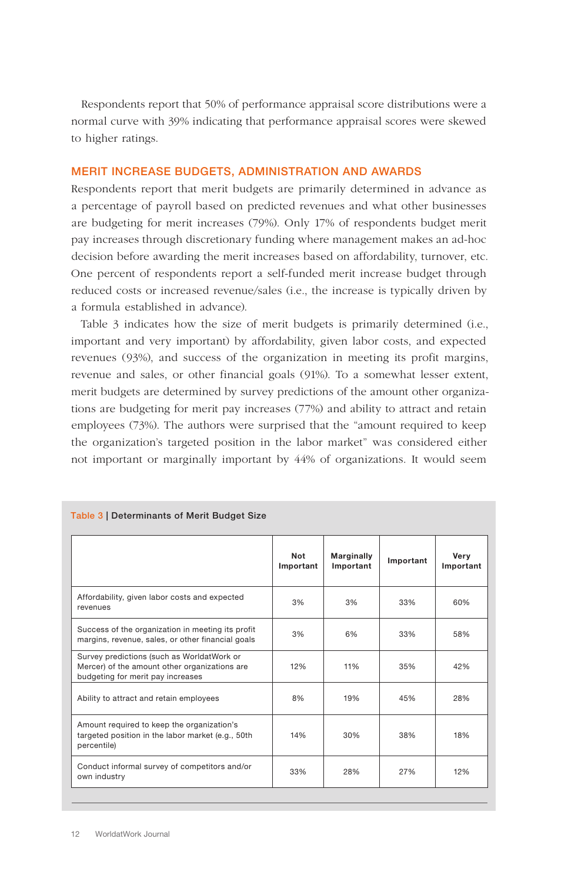Respondents report that 50% of performance appraisal score distributions were a normal curve with 39% indicating that performance appraisal scores were skewed to higher ratings.

#### MERIT INCREASE BUDGETS, ADMINISTRATION AND AWARDS

Respondents report that merit budgets are primarily determined in advance as a percentage of payroll based on predicted revenues and what other businesses are budgeting for merit increases (79%). Only 17% of respondents budget merit pay increases through discretionary funding where management makes an ad-hoc decision before awarding the merit increases based on affordability, turnover, etc. One percent of respondents report a self-funded merit increase budget through reduced costs or increased revenue/sales (i.e., the increase is typically driven by a formula established in advance).

Table 3 indicates how the size of merit budgets is primarily determined (i.e., important and very important) by affordability, given labor costs, and expected revenues (93%), and success of the organization in meeting its profit margins, revenue and sales, or other financial goals (91%). To a somewhat lesser extent, merit budgets are determined by survey predictions of the amount other organizations are budgeting for merit pay increases (77%) and ability to attract and retain employees (73%). The authors were surprised that the "amount required to keep the organization's targeted position in the labor market" was considered either not important or marginally important by 44% of organizations. It would seem

|                                                                                                                                  | <b>Not</b><br>Important | <b>Marginally</b><br>Important | Important | Very<br>Important |
|----------------------------------------------------------------------------------------------------------------------------------|-------------------------|--------------------------------|-----------|-------------------|
| Affordability, given labor costs and expected<br>revenues                                                                        | 3%                      | 3%                             | 33%       | 60%               |
| Success of the organization in meeting its profit<br>margins, revenue, sales, or other financial goals                           | 3%                      | 6%                             | 33%       | 58%               |
| Survey predictions (such as WorldatWork or<br>Mercer) of the amount other organizations are<br>budgeting for merit pay increases | 12%                     | 11%                            | 35%       | 42%               |
| Ability to attract and retain employees                                                                                          | 8%                      | 19%                            | 45%       | 28%               |
| Amount required to keep the organization's<br>targeted position in the labor market (e.g., 50th<br>percentile)                   | 14%                     | 30%                            | 38%       | 18%               |
| Conduct informal survey of competitors and/or<br>own industry                                                                    | 33%                     | 28%                            | 27%       | 12%               |

#### Table 3 | Determinants of Merit Budget Size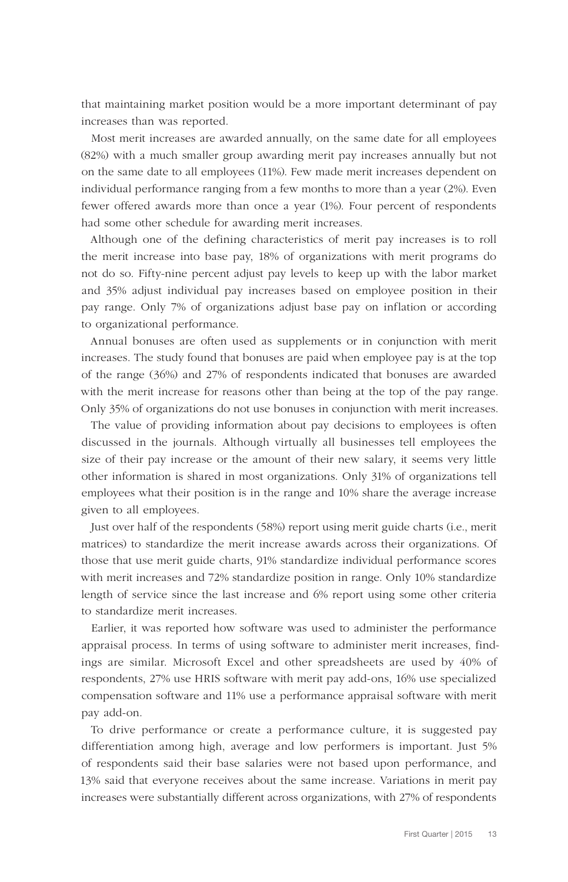that maintaining market position would be a more important determinant of pay increases than was reported.

Most merit increases are awarded annually, on the same date for all employees (82%) with a much smaller group awarding merit pay increases annually but not on the same date to all employees (11%). Few made merit increases dependent on individual performance ranging from a few months to more than a year (2%). Even fewer offered awards more than once a year (1%). Four percent of respondents had some other schedule for awarding merit increases.

Although one of the defining characteristics of merit pay increases is to roll the merit increase into base pay, 18% of organizations with merit programs do not do so. Fifty-nine percent adjust pay levels to keep up with the labor market and 35% adjust individual pay increases based on employee position in their pay range. Only 7% of organizations adjust base pay on inflation or according to organizational performance.

Annual bonuses are often used as supplements or in conjunction with merit increases. The study found that bonuses are paid when employee pay is at the top of the range (36%) and 27% of respondents indicated that bonuses are awarded with the merit increase for reasons other than being at the top of the pay range. Only 35% of organizations do not use bonuses in conjunction with merit increases.

The value of providing information about pay decisions to employees is often discussed in the journals. Although virtually all businesses tell employees the size of their pay increase or the amount of their new salary, it seems very little other information is shared in most organizations. Only 31% of organizations tell employees what their position is in the range and 10% share the average increase given to all employees.

Just over half of the respondents (58%) report using merit guide charts (i.e., merit matrices) to standardize the merit increase awards across their organizations. Of those that use merit guide charts, 91% standardize individual performance scores with merit increases and 72% standardize position in range. Only 10% standardize length of service since the last increase and 6% report using some other criteria to standardize merit increases.

Earlier, it was reported how software was used to administer the performance appraisal process. In terms of using software to administer merit increases, findings are similar. Microsoft Excel and other spreadsheets are used by 40% of respondents, 27% use HRIS software with merit pay add-ons, 16% use specialized compensation software and 11% use a performance appraisal software with merit pay add-on.

To drive performance or create a performance culture, it is suggested pay differentiation among high, average and low performers is important. Just 5% of respondents said their base salaries were not based upon performance, and 13% said that everyone receives about the same increase. Variations in merit pay increases were substantially different across organizations, with 27% of respondents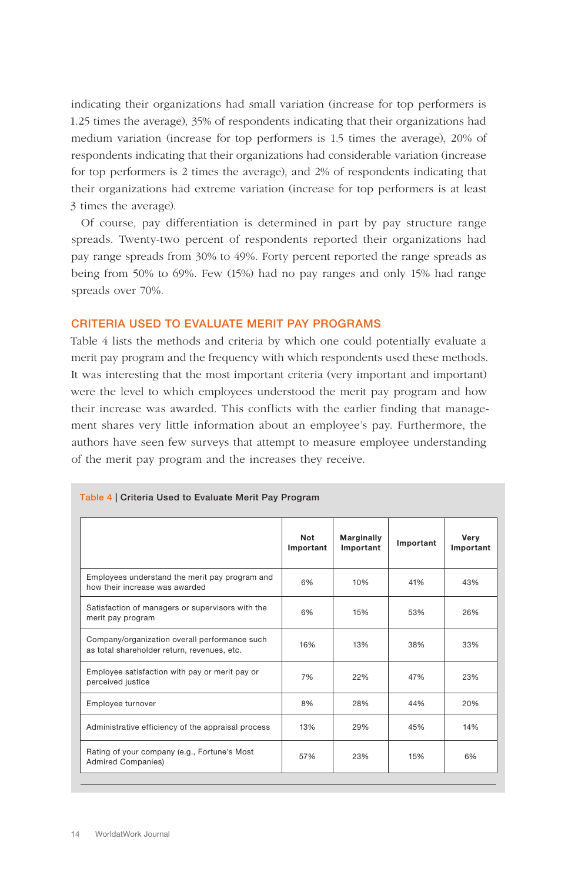indicating their organizations had small variation (increase for top performers is 1.25 times the average), 35% of respondents indicating that their organizations had medium variation (increase for top performers is 1.5 times the average), 20% of respondents indicating that their organizations had considerable variation (increase for top performers is 2 times the average), and 2% of respondents indicating that their organizations had extreme variation (increase for top performers is at least 3 times the average).

Of course, pay differentiation is determined in part by pay structure range spreads. Twenty-two percent of respondents reported their organizations had pay range spreads from 30% to 49%. Forty percent reported the range spreads as being from 50% to 69%. Few (15%) had no pay ranges and only 15% had range spreads over 70%.

#### CRITERIA USED TO EVALUATE MERIT PAY PROGRAMS

Table 4 lists the methods and criteria by which one could potentially evaluate a merit pay program and the frequency with which respondents used these methods. It was interesting that the most important criteria (very important and important) were the level to which employees understood the merit pay program and how their increase was awarded. This conflicts with the earlier finding that management shares very little information about an employee's pay. Furthermore, the authors have seen few surveys that attempt to measure employee understanding of the merit pay program and the increases they receive.

|                                                                                              | Not<br>Important | <b>Marginally</b><br>Important | Important | Verv<br>Important |
|----------------------------------------------------------------------------------------------|------------------|--------------------------------|-----------|-------------------|
| Employees understand the merit pay program and<br>how their increase was awarded             | 6%               | 10%                            | 41%       | 43%               |
| Satisfaction of managers or supervisors with the<br>merit pay program                        | 6%               | 15%                            | 53%       | 26%               |
| Company/organization overall performance such<br>as total shareholder return, revenues, etc. | 16%              | 13%                            | 38%       | 33%               |
| Employee satisfaction with pay or merit pay or<br>perceived justice                          | 7%               | 22%                            | 47%       | 23%               |
| Employee turnover                                                                            | 8%               | 28%                            | 44%       | 20%               |
| Administrative efficiency of the appraisal process                                           | 13%              | 29%                            | 45%       | 14%               |
| Rating of your company (e.g., Fortune's Most<br><b>Admired Companies)</b>                    | 57%              | 23%                            | 15%       | 6%                |

#### Table 4 | Criteria Used to Evaluate Merit Pay Program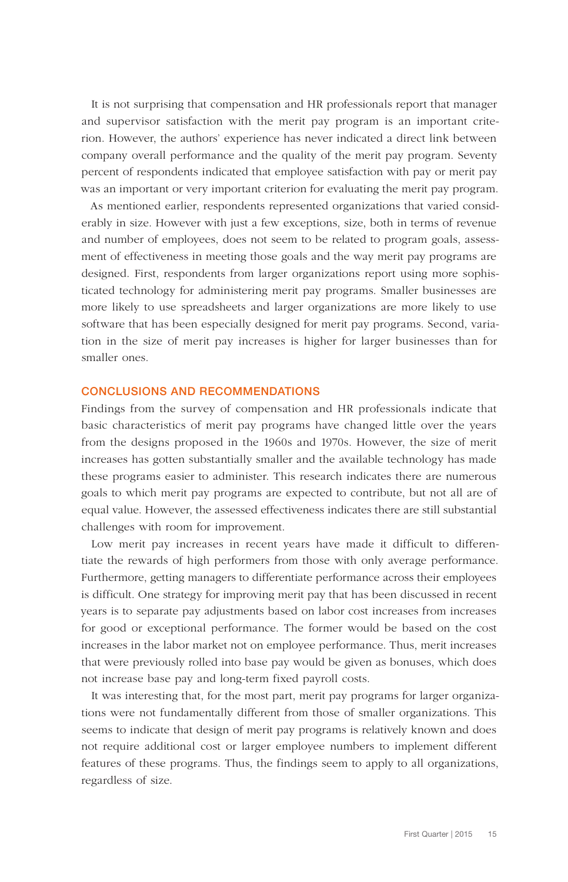It is not surprising that compensation and HR professionals report that manager and supervisor satisfaction with the merit pay program is an important criterion. However, the authors' experience has never indicated a direct link between company overall performance and the quality of the merit pay program. Seventy percent of respondents indicated that employee satisfaction with pay or merit pay was an important or very important criterion for evaluating the merit pay program.

As mentioned earlier, respondents represented organizations that varied considerably in size. However with just a few exceptions, size, both in terms of revenue and number of employees, does not seem to be related to program goals, assessment of effectiveness in meeting those goals and the way merit pay programs are designed. First, respondents from larger organizations report using more sophisticated technology for administering merit pay programs. Smaller businesses are more likely to use spreadsheets and larger organizations are more likely to use software that has been especially designed for merit pay programs. Second, variation in the size of merit pay increases is higher for larger businesses than for smaller ones.

#### CONCLUSIONS AND RECOMMENDATIONS

Findings from the survey of compensation and HR professionals indicate that basic characteristics of merit pay programs have changed little over the years from the designs proposed in the 1960s and 1970s. However, the size of merit increases has gotten substantially smaller and the available technology has made these programs easier to administer. This research indicates there are numerous goals to which merit pay programs are expected to contribute, but not all are of equal value. However, the assessed effectiveness indicates there are still substantial challenges with room for improvement.

Low merit pay increases in recent years have made it difficult to differentiate the rewards of high performers from those with only average performance. Furthermore, getting managers to differentiate performance across their employees is difficult. One strategy for improving merit pay that has been discussed in recent years is to separate pay adjustments based on labor cost increases from increases for good or exceptional performance. The former would be based on the cost increases in the labor market not on employee performance. Thus, merit increases that were previously rolled into base pay would be given as bonuses, which does not increase base pay and long-term fixed payroll costs.

It was interesting that, for the most part, merit pay programs for larger organizations were not fundamentally different from those of smaller organizations. This seems to indicate that design of merit pay programs is relatively known and does not require additional cost or larger employee numbers to implement different features of these programs. Thus, the findings seem to apply to all organizations, regardless of size.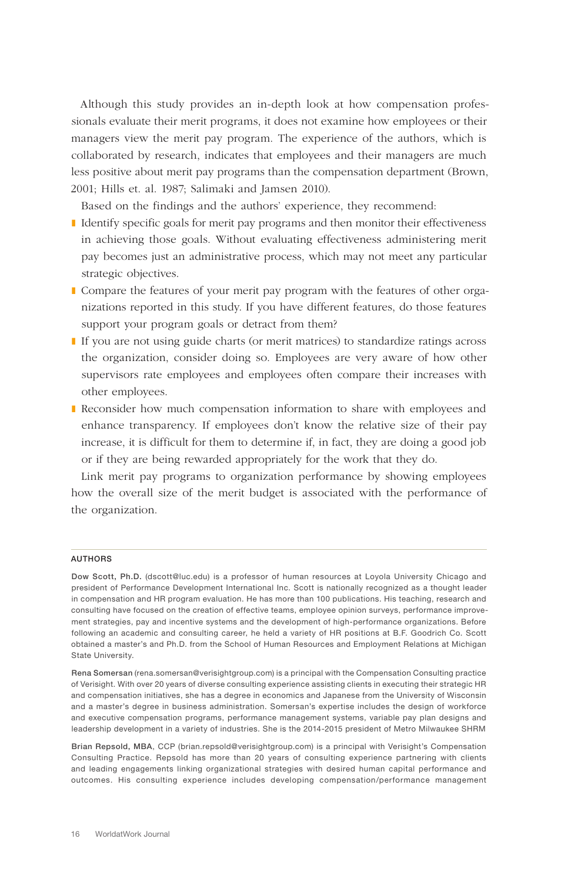Although this study provides an in-depth look at how compensation professionals evaluate their merit programs, it does not examine how employees or their managers view the merit pay program. The experience of the authors, which is collaborated by research, indicates that employees and their managers are much less positive about merit pay programs than the compensation department (Brown, 2001; Hills et. al. 1987; Salimaki and Jamsen 2010).

Based on the findings and the authors' experience, they recommend:

- Identify specific goals for merit pay programs and then monitor their effectiveness in achieving those goals. Without evaluating effectiveness administering merit pay becomes just an administrative process, which may not meet any particular strategic objectives.
- ❚ Compare the features of your merit pay program with the features of other organizations reported in this study. If you have different features, do those features support your program goals or detract from them?
- ❚ If you are not using guide charts (or merit matrices) to standardize ratings across the organization, consider doing so. Employees are very aware of how other supervisors rate employees and employees often compare their increases with other employees.
- Reconsider how much compensation information to share with employees and enhance transparency. If employees don't know the relative size of their pay increase, it is difficult for them to determine if, in fact, they are doing a good job or if they are being rewarded appropriately for the work that they do.

Link merit pay programs to organization performance by showing employees how the overall size of the merit budget is associated with the performance of the organization.

#### **AUTHORS**

Dow Scott, Ph.D. (dscott@luc.edu) is a professor of human resources at Loyola University Chicago and president of Performance Development International Inc. Scott is nationally recognized as a thought leader in compensation and HR program evaluation. He has more than 100 publications. His teaching, research and consulting have focused on the creation of effective teams, employee opinion surveys, performance improvement strategies, pay and incentive systems and the development of high-performance organizations. Before following an academic and consulting career, he held a variety of HR positions at B.F. Goodrich Co. Scott obtained a master's and Ph.D. from the School of Human Resources and Employment Relations at Michigan State University.

Rena Somersan (rena.somersan@verisightgroup.com) is a principal with the Compensation Consulting practice of Verisight. With over 20 years of diverse consulting experience assisting clients in executing their strategic HR and compensation initiatives, she has a degree in economics and Japanese from the University of Wisconsin and a master's degree in business administration. Somersan's expertise includes the design of workforce and executive compensation programs, performance management systems, variable pay plan designs and leadership development in a variety of industries. She is the 2014-2015 president of Metro Milwaukee SHRM

Brian Repsold, MBA, CCP (brian.repsold@verisightgroup.com) is a principal with Verisight's Compensation Consulting Practice. Repsold has more than 20 years of consulting experience partnering with clients and leading engagements linking organizational strategies with desired human capital performance and outcomes. His consulting experience includes developing compensation/performance management